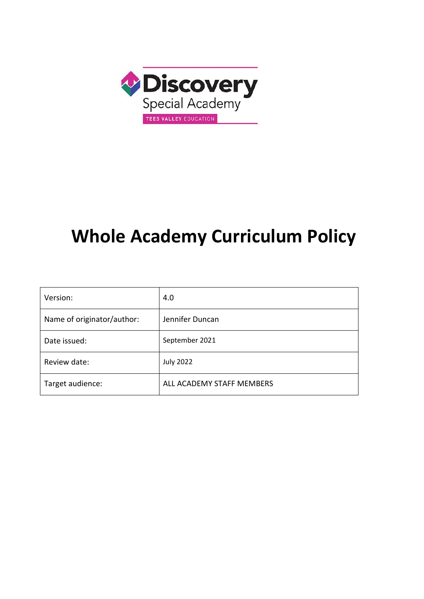

# **Whole Academy Curriculum Policy**

| Version:                   | 4.0                       |
|----------------------------|---------------------------|
| Name of originator/author: | Jennifer Duncan           |
| Date issued:               | September 2021            |
| Review date:               | <b>July 2022</b>          |
| Target audience:           | ALL ACADEMY STAFF MEMBERS |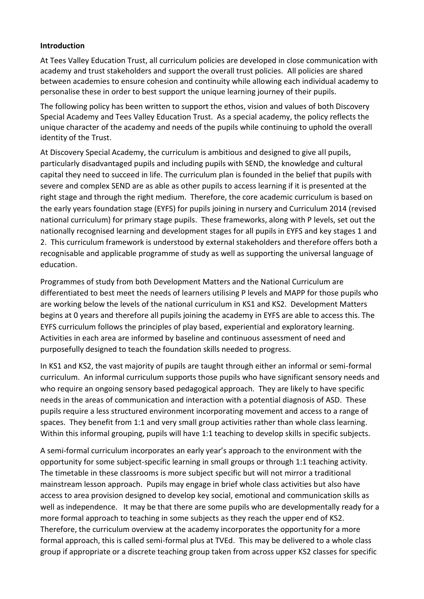#### **Introduction**

At Tees Valley Education Trust, all curriculum policies are developed in close communication with academy and trust stakeholders and support the overall trust policies. All policies are shared between academies to ensure cohesion and continuity while allowing each individual academy to personalise these in order to best support the unique learning journey of their pupils.

The following policy has been written to support the ethos, vision and values of both Discovery Special Academy and Tees Valley Education Trust. As a special academy, the policy reflects the unique character of the academy and needs of the pupils while continuing to uphold the overall identity of the Trust.

At Discovery Special Academy, the curriculum is ambitious and designed to give all pupils, particularly disadvantaged pupils and including pupils with SEND, the knowledge and cultural capital they need to succeed in life. The curriculum plan is founded in the belief that pupils with severe and complex SEND are as able as other pupils to access learning if it is presented at the right stage and through the right medium. Therefore, the core academic curriculum is based on the early years foundation stage (EYFS) for pupils joining in nursery and Curriculum 2014 (revised national curriculum) for primary stage pupils. These frameworks, along with P levels, set out the nationally recognised learning and development stages for all pupils in EYFS and key stages 1 and 2. This curriculum framework is understood by external stakeholders and therefore offers both a recognisable and applicable programme of study as well as supporting the universal language of education.

Programmes of study from both Development Matters and the National Curriculum are differentiated to best meet the needs of learners utilising P levels and MAPP for those pupils who are working below the levels of the national curriculum in KS1 and KS2. Development Matters begins at 0 years and therefore all pupils joining the academy in EYFS are able to access this. The EYFS curriculum follows the principles of play based, experiential and exploratory learning. Activities in each area are informed by baseline and continuous assessment of need and purposefully designed to teach the foundation skills needed to progress.

In KS1 and KS2, the vast majority of pupils are taught through either an informal or semi-formal curriculum. An informal curriculum supports those pupils who have significant sensory needs and who require an ongoing sensory based pedagogical approach. They are likely to have specific needs in the areas of communication and interaction with a potential diagnosis of ASD. These pupils require a less structured environment incorporating movement and access to a range of spaces. They benefit from 1:1 and very small group activities rather than whole class learning. Within this informal grouping, pupils will have 1:1 teaching to develop skills in specific subjects.

A semi-formal curriculum incorporates an early year's approach to the environment with the opportunity for some subject-specific learning in small groups or through 1:1 teaching activity. The timetable in these classrooms is more subject specific but will not mirror a traditional mainstream lesson approach. Pupils may engage in brief whole class activities but also have access to area provision designed to develop key social, emotional and communication skills as well as independence. It may be that there are some pupils who are developmentally ready for a more formal approach to teaching in some subjects as they reach the upper end of KS2. Therefore, the curriculum overview at the academy incorporates the opportunity for a more formal approach, this is called semi-formal plus at TVEd. This may be delivered to a whole class group if appropriate or a discrete teaching group taken from across upper KS2 classes for specific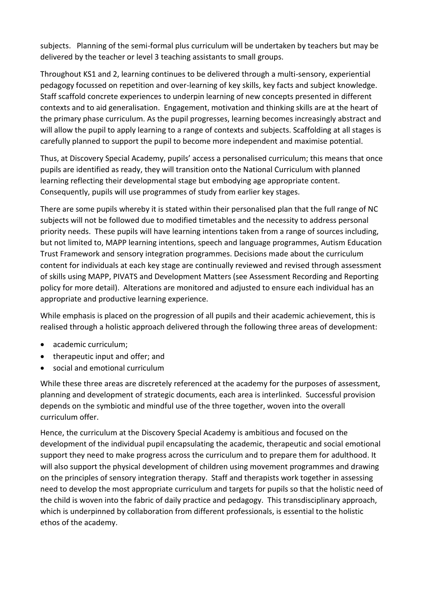subjects. Planning of the semi-formal plus curriculum will be undertaken by teachers but may be delivered by the teacher or level 3 teaching assistants to small groups.

Throughout KS1 and 2, learning continues to be delivered through a multi-sensory, experiential pedagogy focussed on repetition and over-learning of key skills, key facts and subject knowledge. Staff scaffold concrete experiences to underpin learning of new concepts presented in different contexts and to aid generalisation. Engagement, motivation and thinking skills are at the heart of the primary phase curriculum. As the pupil progresses, learning becomes increasingly abstract and will allow the pupil to apply learning to a range of contexts and subjects. Scaffolding at all stages is carefully planned to support the pupil to become more independent and maximise potential.

Thus, at Discovery Special Academy, pupils' access a personalised curriculum; this means that once pupils are identified as ready, they will transition onto the National Curriculum with planned learning reflecting their developmental stage but embodying age appropriate content. Consequently, pupils will use programmes of study from earlier key stages.

There are some pupils whereby it is stated within their personalised plan that the full range of NC subjects will not be followed due to modified timetables and the necessity to address personal priority needs. These pupils will have learning intentions taken from a range of sources including, but not limited to, MAPP learning intentions, speech and language programmes, Autism Education Trust Framework and sensory integration programmes. Decisions made about the curriculum content for individuals at each key stage are continually reviewed and revised through assessment of skills using MAPP, PIVATS and Development Matters (see Assessment Recording and Reporting policy for more detail). Alterations are monitored and adjusted to ensure each individual has an appropriate and productive learning experience.

While emphasis is placed on the progression of all pupils and their academic achievement, this is realised through a holistic approach delivered through the following three areas of development:

- academic curriculum;
- therapeutic input and offer; and
- social and emotional curriculum

While these three areas are discretely referenced at the academy for the purposes of assessment, planning and development of strategic documents, each area is interlinked. Successful provision depends on the symbiotic and mindful use of the three together, woven into the overall curriculum offer.

Hence, the curriculum at the Discovery Special Academy is ambitious and focused on the development of the individual pupil encapsulating the academic, therapeutic and social emotional support they need to make progress across the curriculum and to prepare them for adulthood. It will also support the physical development of children using movement programmes and drawing on the principles of sensory integration therapy. Staff and therapists work together in assessing need to develop the most appropriate curriculum and targets for pupils so that the holistic need of the child is woven into the fabric of daily practice and pedagogy. This transdisciplinary approach, which is underpinned by collaboration from different professionals, is essential to the holistic ethos of the academy.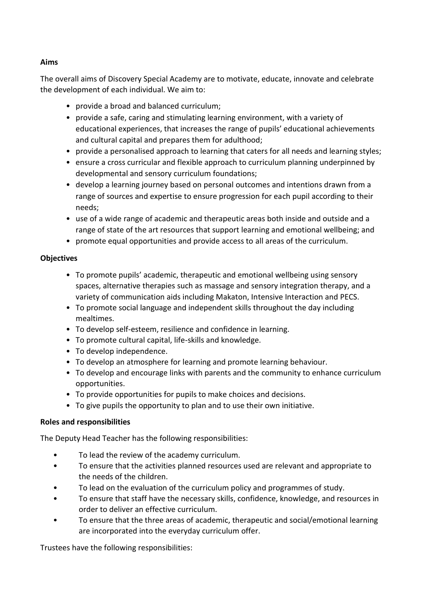## **Aims**

The overall aims of Discovery Special Academy are to motivate, educate, innovate and celebrate the development of each individual. We aim to:

- provide a broad and balanced curriculum;
- provide a safe, caring and stimulating learning environment, with a variety of educational experiences, that increases the range of pupils' educational achievements and cultural capital and prepares them for adulthood;
- provide a personalised approach to learning that caters for all needs and learning styles;
- ensure a cross curricular and flexible approach to curriculum planning underpinned by developmental and sensory curriculum foundations;
- develop a learning journey based on personal outcomes and intentions drawn from a range of sources and expertise to ensure progression for each pupil according to their needs;
- use of a wide range of academic and therapeutic areas both inside and outside and a range of state of the art resources that support learning and emotional wellbeing; and
- promote equal opportunities and provide access to all areas of the curriculum.

## **Objectives**

- To promote pupils' academic, therapeutic and emotional wellbeing using sensory spaces, alternative therapies such as massage and sensory integration therapy, and a variety of communication aids including Makaton, Intensive Interaction and PECS.
- To promote social language and independent skills throughout the day including mealtimes.
- To develop self-esteem, resilience and confidence in learning.
- To promote cultural capital, life-skills and knowledge.
- To develop independence.
- To develop an atmosphere for learning and promote learning behaviour.
- To develop and encourage links with parents and the community to enhance curriculum opportunities.
- To provide opportunities for pupils to make choices and decisions.
- To give pupils the opportunity to plan and to use their own initiative.

## **Roles and responsibilities**

The Deputy Head Teacher has the following responsibilities:

- To lead the review of the academy curriculum.
- To ensure that the activities planned resources used are relevant and appropriate to the needs of the children.
- To lead on the evaluation of the curriculum policy and programmes of study.
- To ensure that staff have the necessary skills, confidence, knowledge, and resources in order to deliver an effective curriculum.
- To ensure that the three areas of academic, therapeutic and social/emotional learning are incorporated into the everyday curriculum offer.

Trustees have the following responsibilities: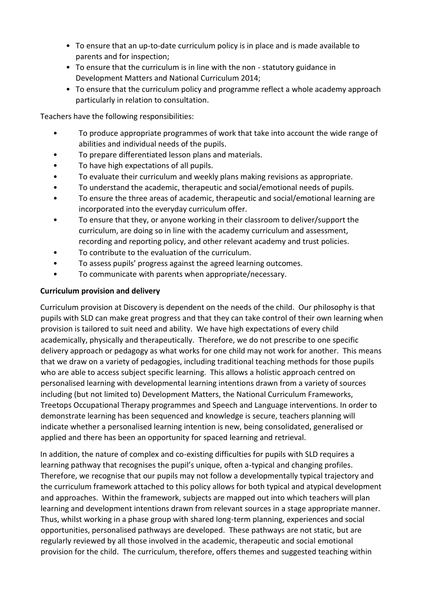- To ensure that an up-to-date curriculum policy is in place and is made available to parents and for inspection;
- To ensure that the curriculum is in line with the non statutory guidance in Development Matters and National Curriculum 2014;
- To ensure that the curriculum policy and programme reflect a whole academy approach particularly in relation to consultation.

Teachers have the following responsibilities:

- To produce appropriate programmes of work that take into account the wide range of abilities and individual needs of the pupils.
- To prepare differentiated lesson plans and materials.
- To have high expectations of all pupils.
- To evaluate their curriculum and weekly plans making revisions as appropriate.
- To understand the academic, therapeutic and social/emotional needs of pupils.
- To ensure the three areas of academic, therapeutic and social/emotional learning are incorporated into the everyday curriculum offer.
- To ensure that they, or anyone working in their classroom to deliver/support the curriculum, are doing so in line with the academy curriculum and assessment, recording and reporting policy, and other relevant academy and trust policies.
- To contribute to the evaluation of the curriculum.
- To assess pupils' progress against the agreed learning outcomes.
- To communicate with parents when appropriate/necessary.

#### **Curriculum provision and delivery**

Curriculum provision at Discovery is dependent on the needs of the child. Our philosophy is that pupils with SLD can make great progress and that they can take control of their own learning when provision is tailored to suit need and ability. We have high expectations of every child academically, physically and therapeutically. Therefore, we do not prescribe to one specific delivery approach or pedagogy as what works for one child may not work for another. This means that we draw on a variety of pedagogies, including traditional teaching methods for those pupils who are able to access subject specific learning. This allows a holistic approach centred on personalised learning with developmental learning intentions drawn from a variety of sources including (but not limited to) Development Matters, the National Curriculum Frameworks, Treetops Occupational Therapy programmes and Speech and Language interventions. In order to demonstrate learning has been sequenced and knowledge is secure, teachers planning will indicate whether a personalised learning intention is new, being consolidated, generalised or applied and there has been an opportunity for spaced learning and retrieval.

In addition, the nature of complex and co-existing difficulties for pupils with SLD requires a learning pathway that recognises the pupil's unique, often a-typical and changing profiles. Therefore, we recognise that our pupils may not follow a developmentally typical trajectory and the curriculum framework attached to this policy allows for both typical and atypical development and approaches. Within the framework, subjects are mapped out into which teachers will plan learning and development intentions drawn from relevant sources in a stage appropriate manner. Thus, whilst working in a phase group with shared long-term planning, experiences and social opportunities, personalised pathways are developed. These pathways are not static, but are regularly reviewed by all those involved in the academic, therapeutic and social emotional provision for the child. The curriculum, therefore, offers themes and suggested teaching within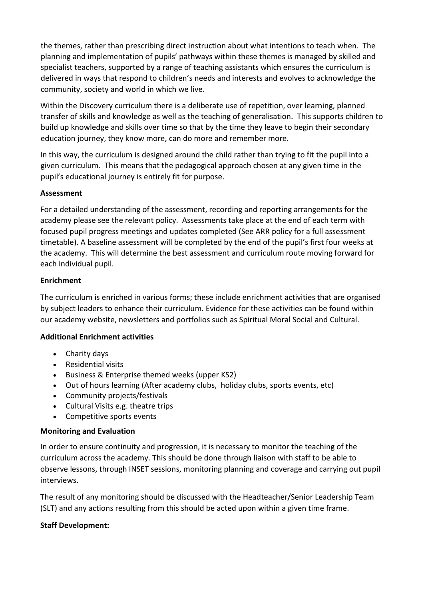the themes, rather than prescribing direct instruction about what intentions to teach when. The planning and implementation of pupils' pathways within these themes is managed by skilled and specialist teachers, supported by a range of teaching assistants which ensures the curriculum is delivered in ways that respond to children's needs and interests and evolves to acknowledge the community, society and world in which we live.

Within the Discovery curriculum there is a deliberate use of repetition, over learning, planned transfer of skills and knowledge as well as the teaching of generalisation. This supports children to build up knowledge and skills over time so that by the time they leave to begin their secondary education journey, they know more, can do more and remember more.

In this way, the curriculum is designed around the child rather than trying to fit the pupil into a given curriculum. This means that the pedagogical approach chosen at any given time in the pupil's educational journey is entirely fit for purpose.

## **Assessment**

For a detailed understanding of the assessment, recording and reporting arrangements for the academy please see the relevant policy. Assessments take place at the end of each term with focused pupil progress meetings and updates completed (See ARR policy for a full assessment timetable). A baseline assessment will be completed by the end of the pupil's first four weeks at the academy. This will determine the best assessment and curriculum route moving forward for each individual pupil.

#### **Enrichment**

The curriculum is enriched in various forms; these include enrichment activities that are organised by subject leaders to enhance their curriculum. Evidence for these activities can be found within our academy website, newsletters and portfolios such as Spiritual Moral Social and Cultural.

## **Additional Enrichment activities**

- Charity days
- Residential visits
- Business & Enterprise themed weeks (upper KS2)
- Out of hours learning (After academy clubs, holiday clubs, sports events, etc)
- Community projects/festivals
- Cultural Visits e.g. theatre trips
- Competitive sports events

## **Monitoring and Evaluation**

In order to ensure continuity and progression, it is necessary to monitor the teaching of the curriculum across the academy. This should be done through liaison with staff to be able to observe lessons, through INSET sessions, monitoring planning and coverage and carrying out pupil interviews.

The result of any monitoring should be discussed with the Headteacher/Senior Leadership Team (SLT) and any actions resulting from this should be acted upon within a given time frame.

#### **Staff Development:**